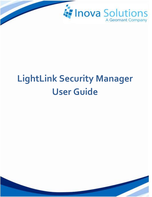

# **LightLink Security Manager User Guide**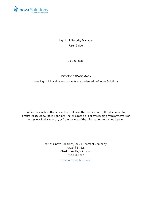

LightLink Security Manager User Guide

July 26, 2018

#### NOTICE OF TRADEMARK:

Inova LightLink and its components are trademarks of Inova Solutions.

While reasonable efforts have been taken in the preparation of this document to ensure its accuracy, Inova Solutions, Inc. assumes no liability resulting from any errors or omissions in this manual, or from the use of the information contained herein.

> © 2021 Inova Solutions, Inc., a Geomant Company 971 2nd ST S.E. Charlottesville, VA 22902 434.817.8000

> > [www.inovasolutions.com](http://www.inovasolutions.com/)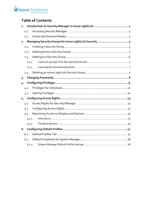## Inova Solutions

## **Table of Contents**

| 1.     |  |
|--------|--|
| 1.1.   |  |
| 1.2.   |  |
| 2.     |  |
| 2.1.   |  |
| 2.2.   |  |
| 2.3.   |  |
| 2.3.1. |  |
| 2.3.2. |  |
| 2.4.   |  |
| 3.     |  |
| 4.     |  |
| 4.1.   |  |
| 4.2.   |  |
| $5 -$  |  |
| 5.1.   |  |
| 5.2.   |  |
| 5.3.   |  |
| 5.3.1. |  |
| 5.3.2. |  |
| 6.     |  |
| 6.1.   |  |
| 6.2.   |  |
| 6.2.1. |  |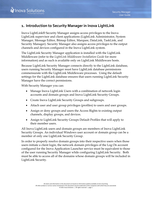## <span id="page-3-0"></span>**1. Introduction to Security Manager in Inova LightLink**

Inova LightLink® Security Manager assigns access privileges to the Inova LightLink supervisor and client applications (LightLink Administrator, System Manager, Message Editor, Bitmap Editor, Marquee, DataLink, TaskLink, and Security Manager). Security Manager also assigns access privileges to the output channels and devices configured in the Inova LightLink system.

The LightLink Security Manager application is installed with the LightLink Middleware (refer to the *LightLink Middleware Installation Guide* for more information) and as such is available only on LightLink Middleware hosts.

Because LightLink Security Manager connects directly to the LightLink database, users running Security Manager must have LightLink database permissions commensurate with the LightLink Middleware processes. Using the default settings for the LightLink database ensures that users running LightLink Security Manager have the correct permissions.

With Security Manager you can:

- Manage Inova LightLink Users with a combination of network login accounts and domain groups and Inova LightLink Security Groups.
- Create Inova LightLink Security Groups and subgroups.
- Attach user and user group privileges (profiles) to users and user groups.
- Assign or deny groups and users the Access Rights to existing output channels, display groups, and devices.
- Assign to LightLink Security Groups Default Profiles that will apply to their member users.

All Inova LightLink users and domain groups are members of Inova LightLink Security Groups. An individual Windows user account or domain group can be a member of only one LightLink Security Group.

In order to properly resolve domain groups into their respective users when those users initiate a client login, the network domain privileges of the Log On account configured for the Inova Application Launcher service must be equivalent to those of the user running Security Manager while configuring LightLink Security. Both must be able to access all of the domains whose domain groups will be included in LightLink Security.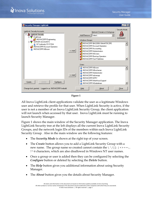

**Figure 1**

<span id="page-4-0"></span>All Inova LightLink client applications validate the user as a legitimate Windows user and retrieve the profile for that user. When LightLink Security is active, if the user is not a member of an Inova LightLink Security Group, the client application will not launch when accessed by that user. Inova LightLink must be running to launch Security Manager.

[Figure 1](#page-4-0) shows the main window of the Security Manager application. The Inova LightLink Security tree at the left displays all the current Inova LightLink Security Groups, and the network login IDs of the members within each Inova LightLink Security Group. Also in the main window are the following features:

- The *Security Mode* is shown at the right top of your screen.
- The *Create* button allows you to add a LightLink Security Group with a new name. The group name so created cannot contain the  $\langle \n\cdot | \cdot | \cdot \rangle = \cdot$ , ? \* @ characters, which are also disallowed in Windows NT user names.
- Once a group or user is added then they can be configured by selecting the *Configure* button or deleted by selecting the *Delete* button.
- The *Help* button gives you additional information about using Security Manager.
- The *About* button gives you the details about Security Manager.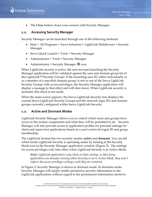• The *Close* button closes your session with Security Manager.

## <span id="page-5-0"></span>**1.1. Accessing Security Manager**

Security Manager can be launched through one of the following methods:

- Start > All Programs > Inova Solutions > LightLink Middleware > Security Manager
- Inova Quick Launch > Tools > Security Manager
- Administrator > Tools > Security Manager
- Administrator > Security Manager  $\bullet$  icon

When LightLink security is active, the user account launching the Security Manager application will be validated against the user and domain group list of the LightLink™ Security Groups. If the launching user ID, either individually or as a member of a specified domain group, is not in one of the Inova LightLink Security Groups with access privileges, the Security Manager application will display a message to that effect and will shut down. When LightLink security is dormant, this check is not made.

When the main screen appears, the Inova LightLink Security tree displays the current Inova LightLink Security Groups and the network login IDs and domain groups currently configured within Inova LightLink Security.

#### <span id="page-5-1"></span>**1.2. Active and Dormant Modes**

LightLink Security Manager allows you to control which users and groups have access to the system components and what they will be permitted to do. Security Manager will also provide access to application profiles for personal settings for client and supervisor applications based on a user's network logon ID and group membership.

The LightLink System has two security modes: **active** and **dormant**. You can tell which mode LightLink Security is operating under by looking at the Security Mode icon in the Security Manager application window [\(Figure 2\)](#page-6-0). The settings for access privileges only take effect when LightLink Security is in Active Mode.

*Note: LightLink applications only check on their startup, so that if any applications are already running when Security is set to Active Mode, they won't enforce the access privileges settings until they are restarted.*

In [Figure 2,](#page-6-0) Security Manager is shown in dormant mode. In dormant mode, Security Manager will supply totally permissive security information to the LightLink applications without regard to the permissions information stored in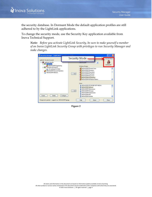

the security database. In Dormant Mode the default application profiles are still adhered to by the LightLink applications.

To change the security mode, use the Security Key application available from Inova Technical Support.

*Note: Before you activate LightLink Security, be sure to make yourself a member of an Inova LightLink Security Group with privileges to run Security Manager and make changes.*

<span id="page-6-0"></span>

**Figure 2**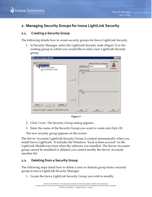

## <span id="page-7-0"></span>**2. Managing Security Groups for Inova LightLink Security**

## <span id="page-7-1"></span>**2.1. Creating a Security Group**

The following details how to create security groups for Inova LightLink Security.

1. In Security Manager, select the LightLink Security node [\(Figure 3\)](#page-7-3) or the existing group to which you would like to add a new LightLink Security group.

| Security Manager LightLink                                                                                        |          |                                                                                      | $\blacksquare$ $\blacksquare$ $\blacksquare$ |
|-------------------------------------------------------------------------------------------------------------------|----------|--------------------------------------------------------------------------------------|----------------------------------------------|
| LightLink Security Accounts<br>El A LightLink Security<br>SERVER ACCOUNTS<br>Ė.,<br><b>A</b> NT Authority//SYSTEM |          | Network Domain or Workgroup:<br>Add/Remove<br>Select<br>▼<br>Windows Groups:<br>none | Security Mode <sub>1</sub><br><b>DORMANT</b> |
|                                                                                                                   | $<<$ Add |                                                                                      |                                              |
|                                                                                                                   | kk X     | Users:<br>none                                                                       |                                              |
| Create<br>Configure<br>Delete<br>Change lock granted. Logged in as: INOVACORP/swbuild                             |          | About<br>He                                                                          | Close                                        |

**Figure 3**

- <span id="page-7-3"></span>2. Click *Create*. The Security Group dialog appears.
- 3. Enter the name of the Security Group you want to create and click *OK*.

The new security group appears on the screen.

The Server Accounts LightLink Security Group is created automatically when you install Inova LightLink. It includes the Windows "local system account" on the LightLink Middleware host when the software was installed. The Server Accounts group cannot be modified or deleted; you cannot modify the Server Accounts member list.

## <span id="page-7-2"></span>**2.2. Deleting from a Security Group**

The following steps detail how to delete a user or domain group from a security group in Inova LightLink Security Manager.

1. Locate the Inova LightLink Security Group you wish to modify.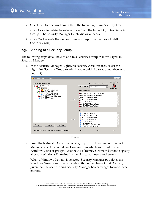- 2. Select the User network login ID in the Inova LightLink Security Tree.
- 3. Click *Delete* to delete the selected user from the Inova LightLink Security Group. The Security Manager Delete dialog appears.
- 4. Click *Yes* to delete the user or domain group from the Inova LightLink Security Group.

## <span id="page-8-0"></span>**2.3. Adding to a Security Group**

The following steps detail how to add to a Security Group in Inova LightLink Security Manager.

1. In the Security Manager LightLink Security Accounts tree, select the LightLink Security Group to which you would like to add members (see [Figure 4\)](#page-8-1).





<span id="page-8-1"></span>2. From the Network Domain or Workgroup drop down menu in Security Manager, select the Windows Domain from which you want to add Windows users or groups. Use the Add/Remove Domain button to specify alternate Windows Domains from which to add users and groups.

When a Windows Domain is selected, Security Manager populates the Windows Groups and Users panels with the members of that Domain, given that the user running Security Manager has privileges to view those entities.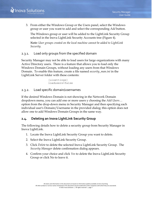3. From either the Windows Group or the Users panel, select the Windows group or user you want to add and select the corresponding *Add* button.

The Windows group or user will be added to the LightLink Security Group selected in the Inova LightLink Security Accounts tree [\(Figure 4\)](#page-8-1).

*Note: User groups created on the local machine cannot be added to LightLink Security.*

## <span id="page-9-0"></span>2.3.1. Load only groups from the specified domain

Security Manager may not be able to load users for large organizations with many Active Directory users. There is a feature that allows you to load only the Windows Domain Groups, without loading any users from that Windows Domain. To enable this feature, create a file named *security\_man.ini* in the LightLink Server folder with these contents:

> [uisettings] loadusers=false

#### <span id="page-9-1"></span>2.3.2. Load specific domain/usernames

If the desired Windows Domain is not showing in the Network Domain dropdown menu, you can add one or more users y choosing the *Add Users…* option from the drop-down menu in Security Manager and then specifying each individual user's Domain/Username in the provided dialog; this option does not allow one to add Windows Domain Groups in the same way.

## <span id="page-9-2"></span>**2.4. Deleting an Inova LightLink Security Group**

The following details how to delete a security group from Security Manager in Inova LightLink.

- 1. Locate the Inova LightLink Security Group you want to delete.
- 2. Select the Inova LightLink Security Group.
- 3. Click *Delete* to delete the selected Inova LightLink Security Group. The *Security Manager* delete confirmation dialog appears.
- 4. Confirm your choice and click *Yes* to delete the Inova LightLink Security Group or click No to leave it.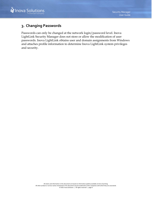

## <span id="page-10-0"></span>**3. Changing Passwords**

Passwords can only be changed at the network login/password level. Inova LightLink Security Manager does not store or allow the modification of user passwords. Inova LightLink obtains user and domain assignments from Windows and attaches profile information to determine Inova LightLink system privileges and security.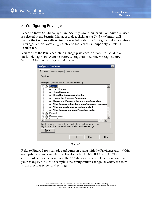

## <span id="page-11-0"></span>**4. Configuring Privileges**

When an Inova Solutions LightLink Security Group, subgroup, or individual user is selected in the Security Manager dialog, clicking the *Configure* button will invoke the Configure dialog for the selected node. The Configure dialog contains a Privileges tab, an Access Rights tab, and for Security Groups only, a Default Profiles tab.

You can use the Privileges tab to manage privileges for Marquee, DataLink, TaskLink, LightLink Administrator, Configuration Editor, Message Editor, Security Manager, and System Manager.

| <b>Configure - EngGroup</b><br>×                                                                                                                                                                                                                                                                                                                                                                                                                                       |
|------------------------------------------------------------------------------------------------------------------------------------------------------------------------------------------------------------------------------------------------------------------------------------------------------------------------------------------------------------------------------------------------------------------------------------------------------------------------|
| Privileges   Access Rights   Default Profiles                                                                                                                                                                                                                                                                                                                                                                                                                          |
| EngGroup                                                                                                                                                                                                                                                                                                                                                                                                                                                               |
| Privileges: [ double click to select or de-select ]                                                                                                                                                                                                                                                                                                                                                                                                                    |
| □ <u>P</u> Marquee<br>—√ Run Marquee<br>—√ Close Marquee<br>$\sim$ Move the Marquee Application<br>$\sim$ $\checkmark$ Resize the Marquee Application<br>$\llbracket -\checkmark\;$ Minimize or Maximize the Marquee Application<br>$\sim$ Allow Access automatic pop-up/automatic minimize<br>$\sim$ Allow access to always on top control<br>└─√ Allow Access Marquee Properties dialog<br>由 / DataLink<br>由…∭ Message Editor<br><u> 6 - - - - - 11 - - - - - - </u> |
| LightLink security must be turned on for these settings to be active.<br>LightLink applications must be restarted to read new settings.                                                                                                                                                                                                                                                                                                                                |
| Reset                                                                                                                                                                                                                                                                                                                                                                                                                                                                  |
| ΟK<br>Cancel<br>Help                                                                                                                                                                                                                                                                                                                                                                                                                                                   |

**Figure 5**

<span id="page-11-1"></span>Refer to [Figure 5](#page-11-1) for a sample configuration dialog with the Privileges tab. Within each privilege, you can select or de-select it by double clicking on it. The checkmark shows it enabled and the "X" shows it disabled. Once you have made your changes, click *OK* to complete the configuration changes or *Cancel* to return to the previous screen and settings.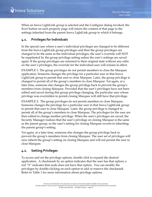

When an Inova LightLink group is selected and the Configure dialog invoked, the *Reset* button on each property page will return the content of that page to the settings inherited from the parent Inova LightLink group to which it belongs.

## <span id="page-12-0"></span>**4.1. Privileges for Individuals**

In the special case where a user's individual privileges are changed to be different from the Inova LightLink group privileges and then the group privileges are changed to be the same as the individual privileges, the user's override will NOT be supplanted by the group privilege setting unless the user's settings are saved again. If the group privileges are returned to their original state without any edits on the user's privileges, the override for the individual user will remain in effect.

EXAMPLE 1: The group privileges do not permit members to close the Marquee application. Someone changes the privilege for a particular user in that Inova LightLink group to permit that user to close Marquee. Later, the group privilege is changed to permit all of the group's members to close Marquee. Yet again, at a later time, someone else changes the group privilege back to prevent the group's members from closing Marquee. Provided that the user's privileges have not been edited and saved during this group privilege changing, the particular user whose privilege was overridden to permit closing Marquee will still have that privilege.

EXAMPLE 2: The group privileges do not permit members to close Marquee. Someone changes the privilege for a particular user in that Inova LightLink group to permit that user to close Marquee. Later, the group privilege is changed to permit all of the group's members to close Marquee. The privileges for the user are then edited to change another privilege. When the user's privileges are saved, the Security Manager realizes that the user's privilege on closing Marquee is the same as the parent group, so the user's setting for closing Marquee reverts to inheriting the parent group's setting.

Yet again, at a later time, someone else changes the group privilege back to prevent the group's members from closing Marquee. The user set of privileges will now inherit the group's setting on closing Marquee and will not permit the user to close Marquee.

## <span id="page-12-1"></span>**4.2. Setting Privileges**

To access and set the privilege options, double click to expand the desired application. A checkmark by an option indicates that the user has that option; a red "X" indicates that node does not have that option. You can modify the privileges by double-clicking on each option to add or remove the checkmark. Refer to [Table 1](#page-14-0) for more information about privilege options.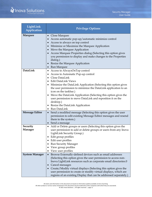| LightLink<br>Application | <b>Privilege Options</b>                                                                                                                                                                                                                                                                                                                                                                                                                                                                                                                                   |
|--------------------------|------------------------------------------------------------------------------------------------------------------------------------------------------------------------------------------------------------------------------------------------------------------------------------------------------------------------------------------------------------------------------------------------------------------------------------------------------------------------------------------------------------------------------------------------------------|
| <b>Marquee</b>           | • Close Marquee<br>Access automatic pop-up/automatic minimize control<br>$\bullet$<br>Access to always on top control<br>$\bullet$<br>Minimize or Maximize the Marquee Application<br>$\bullet$<br>Move the Marquee Application<br>$\bullet$<br>Access Marquee Properties dialog (Selecting this option gives<br>$\bullet$<br>you permission to display and make changes to the Properties<br>dialog.)<br>Resize the Marquee Application<br>$\bullet$<br>• Run Marquee                                                                                     |
| DataLink                 | • Access to AlwaysOnTop control<br>Access to Automatic Pop-up control<br>$\bullet$<br>Close DataLink<br>$\bullet$<br>Edit DataLink Views<br>$\bullet$<br>Minimize the DataLink Application (Selecting this option gives<br>$\bullet$<br>the user permission to minimize the DataLink application to an<br>icon on the taskbar.)<br>Move the DataLink Application (Selecting this option gives the<br>$\bullet$<br>user permission to move DataLink and reposition it on the<br>desktop.)<br>Resize the DataLink Application<br>$\bullet$<br>• Run DataLink |
| <b>Message Editor</b>    | Send a modified message (Selecting this option gives the user<br>$\bullet$<br>permission to edit existing Message Editor messages and resend<br>them to the system.)<br>• Send a message                                                                                                                                                                                                                                                                                                                                                                   |
| Security<br>Manager      | Add or Delete groups or users (Selecting this option gives the<br>$\bullet$<br>user permission to add or delete groups or users from any Inova<br>LightLink Security Group.)<br>Edit group profiles<br>Edit user profiles<br><b>Run Security Manager</b><br>View group profiles<br>View user profiles                                                                                                                                                                                                                                                      |
| <b>System Manager</b>    | Browse Externally-defined devices such as email addresses<br>$\bullet$<br>(Selecting this option gives the user permission to access non-<br>Inova LightLink resources such as corporate email directories.0<br>Cancel messages<br>Create/Modify virtual displays (Selecting this option gives the<br>user permission to create or modify virtual displays, which are<br>regions of an existing Display that can be addressed separately.)                                                                                                                 |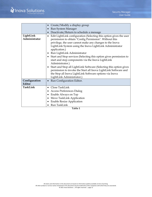|               | Create/Modify a display group                                                   |
|---------------|---------------------------------------------------------------------------------|
|               | Run System Manager                                                              |
|               | Deactivate/Return to schedule a message<br>$\bullet$                            |
| LightLink     | Edit LightLink configuration (Selecting this option gives the user<br>$\bullet$ |
| Administrator | permission to obtain "Config Permission". Without this                          |
|               | privilege, the user cannot make any changes to the Inova                        |
|               | LightLink System using the Inova LightLink Administrator                        |
|               | application.)                                                                   |
|               | • Run LightLink Administrator                                                   |
|               | • Start and Stop services (Selecting this option gives permission to            |
|               | start and stop components via the Inova LightLink                               |
|               | Administrator.)                                                                 |
|               | • Start and Stop all LightLink Software (Selecting this option gives            |
|               | permission to invoke the Start all Inova LightLink Software and                 |
|               | the Stop all Inova LightLink Software options via Inova                         |
|               | LightLink Administrator.)                                                       |
| Configuration | Run Configuration Editor.<br>$\bullet$                                          |
| Editor        |                                                                                 |
| TaskLink      | Close TaskLink                                                                  |
|               | <b>Access Preferences Dialog</b>                                                |
|               | Enable Always on Top                                                            |
|               | Move TaskLink Application                                                       |
|               | <b>Enable Resize Application</b>                                                |
|               | • Run TaskLink                                                                  |

<span id="page-14-0"></span>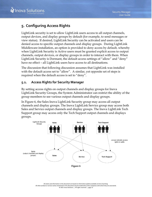## <span id="page-15-0"></span>**5. Configuring Access Rights**

LightLink security is set to allow LightLink users access to all output channels, output devices, and display groups by default (for example, to send messages or view status). If desired, LightLink Security can be activated and users can be denied access to specific output channels and display groups. During LightLink Middleware installation, an option is provided to deny access by default, whereby when LightLink Security is Active users must be granted explicit access to output channels, output devices, or display groups in order to interact with them. When LightLink Security is Dormant, the default access settings of "allow" and "deny" have no effect – all LightLink users have access to all destinations.

The discussion that following discussion assumes that LightLink was installed with the default access set to "allow". A similar, yet opposite set of steps is required when the default access is set to "deny".

## <span id="page-15-1"></span>**5.1. Access Rights for Security Manager**

By setting access rights on output channels and display groups for Inova LightLink Security Groups, the System Administrator can restrict the ability of the group members to see various output channels and display groups.

In [Figure 6,](#page-15-2) the Sales Inova LightLink Security group may access all output channels and display groups. The Inova LightLink Service group may access both Sales and Service output channels and display groups. The Inova LightLink Tech Support group may access only the Tech Support output channels and displays groups.

<span id="page-15-2"></span>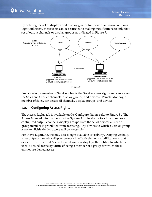By defining the set of displays and display groups for individual Inova Solutions LightLink users, those users can be restricted to making modifications to only that set of output channels or display groups as indicated in [Figure 7.](#page-16-1)



**Figure 7**

<span id="page-16-1"></span>Fred Gordon, a member of Service inherits the Service access rights and can access the Sales and Service channels, display groups, and devices. Pamela Monday, a member of Sales, can access all channels, display groups, and devices.

## <span id="page-16-0"></span>**5.2. Configuring Access Rights**

The Access Rights tab is available on the Configure dialog; refer to [Figure 8](#page-17-2) . The Access Granted window permits the System Administrator to add and remove configured output channels, display groups from the set of devices a user or group member is prohibited from accessing. Any devices to which a user or group is not explicitly denied access will be accessible.

For Inova LightLink, the only access right available is visibility. Denying visibility to an output channel or display group will effectively deny modification to that device. The Inherited Access Denied window displays the entities to which the user is denied access by virtue of being a member of a group for which those entities are denied access.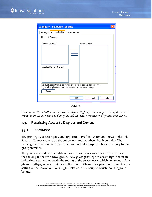

| <b>Configure - LightLink Security</b>                                   |
|-------------------------------------------------------------------------|
| Access Rights<br>Privileges<br>Default Profiles                         |
| LightLink Security                                                      |
| Access Granted:<br>Access Denied:                                       |
| <<<br>$\rightarrow$                                                     |
| <b>Inherited Access Denied:</b>                                         |
| LightLink security must be turned on for these settings to be active.   |
| LightLink applications must be restarted to read new settings.<br>Reset |
| OΚ<br>Help<br>Cancel                                                    |

**Figure 8**

<span id="page-17-2"></span>*Clicking the Reset button will return the Access Rights for the group to that of the parent group, or in the case above to that of the default, access granted to all groups and devices.*

#### <span id="page-17-0"></span>**5.3. Restricting Access to Displays and Devices**

#### <span id="page-17-1"></span>5.3.1. Inheritance

The privileges, access rights, and application profiles set for any Inova LightLink Security Group apply to all the subgroups and members that it contains. The privileges and access rights set for an individual group member apply only to that group member.

The privileges and access rights set for any windows group apply to any users that belong to that windows group. Any given privilege or access right set on an individual user will override the setting of the subgroup to which he belongs. Any given privilege, access right, or application profile set for a group will override the setting of the Inova Solutions LightLink Security Group to which that subgroup belongs.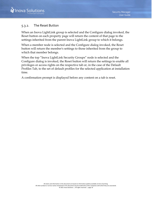#### <span id="page-18-0"></span>5.3.2. The Reset Button

When an Inova LightLink group is selected and the Configure dialog invoked, the Reset button on each property page will return the content of that page to the settings inherited from the parent Inova LightLink group to which it belongs.

When a member node is selected and the Configure dialog invoked, the Reset button will return the member's settings to those inherited from the group to which that member belongs.

When the top "Inova LightLink Security Groups" node is selected and the Configure dialog is invoked, the Reset button will return the settings to enable all privileges or access rights on the respective tab or, in the case of the Default Profiles Tab, to the set of default profiles for the selected application at installation time.

A confirmation prompt is displayed before any content on a tab is reset.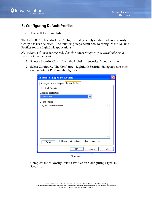

## <span id="page-19-0"></span>**6. Configuring Default Profiles**

## <span id="page-19-1"></span>**6.1. Default Profiles Tab**

The Default Profiles tab of the Configure dialog is only enabled when a Security Group has been selected. The following steps detail how to configure the Default Profiles for the LightLink applications.

*Note: Inova Solutions recommends changing these settings only in consultation with Inova Technical Support.*

- 1. Select a Security Group from the LightLink Security Accounts pane.
- 2. Select Configure. The Configure LightLink Security dialog appears; click on the Default Profiles tab [\(Figure 9\)](#page-19-2).

| <b>Configure - LightLink Security</b>                |      |  |
|------------------------------------------------------|------|--|
| Default Profiles<br>Privileges   Access Rights       |      |  |
| LightLink Security                                   |      |  |
| Select an application:                               |      |  |
| Administrator<br>v                                   |      |  |
| Default Profile:                                     |      |  |
| LA_IdleTimeoutMinutes=0                              |      |  |
|                                                      |      |  |
|                                                      |      |  |
|                                                      |      |  |
|                                                      |      |  |
|                                                      |      |  |
|                                                      |      |  |
|                                                      |      |  |
| Force profile settings on all group members<br>Reset |      |  |
| Cancel<br>OΚ                                         | Help |  |
|                                                      |      |  |

**Figure 9**

<span id="page-19-2"></span>3. Complete the following Default Profiles for Configuring LightLink Security: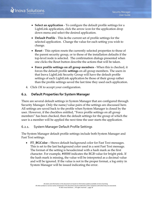- **Select an application** To configure the default profile settings for a LightLink application, click the arrow icon for the application drop down menu and select the desired application.
- **Default Profile** This **is** the current set of profile settings for the selected application. Change the value for each setting you wish to change.
- **Reset** This option resets the currently selected properties to those of the parent security group, or to those of the installation defaults if the top-level node is selected. The confirmation dialogs presented when one clicks the Reset button describe the actions that will be taken.
- **Force profile settings on all group members** When this is checked, it forces the default profile **settings** on all group members. The users in that Inova LightLink Security Group will have the default profile settings of each LightLink application be those of their group rather than the profile settings saved the last time they used each application.
- 4. Click *OK* to accept your configuration.

## <span id="page-20-0"></span>**6.2. Default Properties for System Manager**

There are several default settings in System Manager that are configured through Security Manager. Only the name/value pairs of the settings are discussed here. All settings are saved back to the profile when System Manager is closed by the user. However, if the checkbox entitled, "Force profile settings on all group members" has been checked, then the default settings for the group of which the user is a member will be applied the next time the user starts the application.

#### <span id="page-20-1"></span>6.2.1. System Manager Default Profile Settings

The System Manager default profile settings include both System Manager and Fast Text settings.

• **FT\_BGColor** – Shows default background color for Fast Text messages. This is set to the last background color used in a sent Fast Text message. The format of the setting is hexadecimal with a hash mark as the first character. For example, #ff00ff indicates the RGB value for bright pink. If the hash mark is missing, the value will be interpreted as a decimal value and will be ignored. If the value is not in the proper format, a log entry in System Manager will be issued indicating the error.